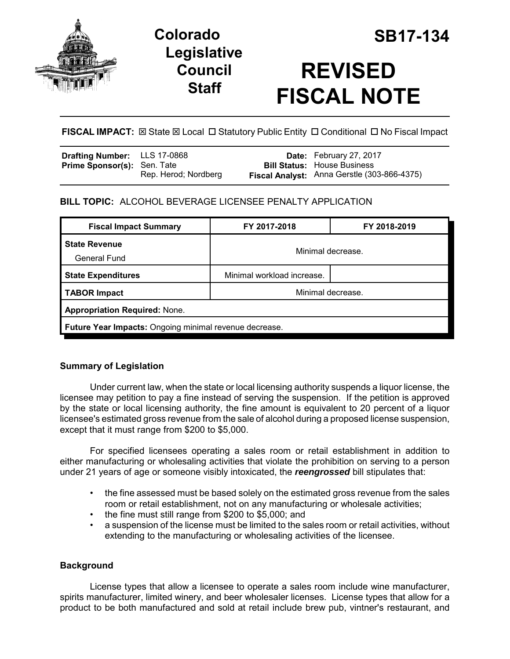





# **REVISED FISCAL NOTE**

# **FISCAL IMPACT:** ⊠ State ⊠ Local □ Statutory Public Entity □ Conditional □ No Fiscal Impact

| <b>Drafting Number:</b> LLS 17-0868 |                      | Date: February 27, 2017                     |
|-------------------------------------|----------------------|---------------------------------------------|
| <b>Prime Sponsor(s): Sen. Tate</b>  |                      | <b>Bill Status:</b> House Business          |
|                                     | Rep. Herod; Nordberg | Fiscal Analyst: Anna Gerstle (303-866-4375) |

## **BILL TOPIC:** ALCOHOL BEVERAGE LICENSEE PENALTY APPLICATION

| <b>Fiscal Impact Summary</b>                                  | FY 2017-2018               | FY 2018-2019      |  |  |  |
|---------------------------------------------------------------|----------------------------|-------------------|--|--|--|
| <b>State Revenue</b><br><b>General Fund</b>                   | Minimal decrease.          |                   |  |  |  |
| <b>State Expenditures</b>                                     | Minimal workload increase. |                   |  |  |  |
| <b>TABOR Impact</b>                                           |                            | Minimal decrease. |  |  |  |
| <b>Appropriation Required: None.</b>                          |                            |                   |  |  |  |
| <b>Future Year Impacts: Ongoing minimal revenue decrease.</b> |                            |                   |  |  |  |

## **Summary of Legislation**

Under current law, when the state or local licensing authority suspends a liquor license, the licensee may petition to pay a fine instead of serving the suspension. If the petition is approved by the state or local licensing authority, the fine amount is equivalent to 20 percent of a liquor licensee's estimated gross revenue from the sale of alcohol during a proposed license suspension, except that it must range from \$200 to \$5,000.

For specified licensees operating a sales room or retail establishment in addition to either manufacturing or wholesaling activities that violate the prohibition on serving to a person under 21 years of age or someone visibly intoxicated, the *reengrossed* bill stipulates that:

- the fine assessed must be based solely on the estimated gross revenue from the sales room or retail establishment, not on any manufacturing or wholesale activities;
- the fine must still range from \$200 to \$5,000; and
- a suspension of the license must be limited to the sales room or retail activities, without extending to the manufacturing or wholesaling activities of the licensee.

## **Background**

License types that allow a licensee to operate a sales room include wine manufacturer, spirits manufacturer, limited winery, and beer wholesaler licenses. License types that allow for a product to be both manufactured and sold at retail include brew pub, vintner's restaurant, and